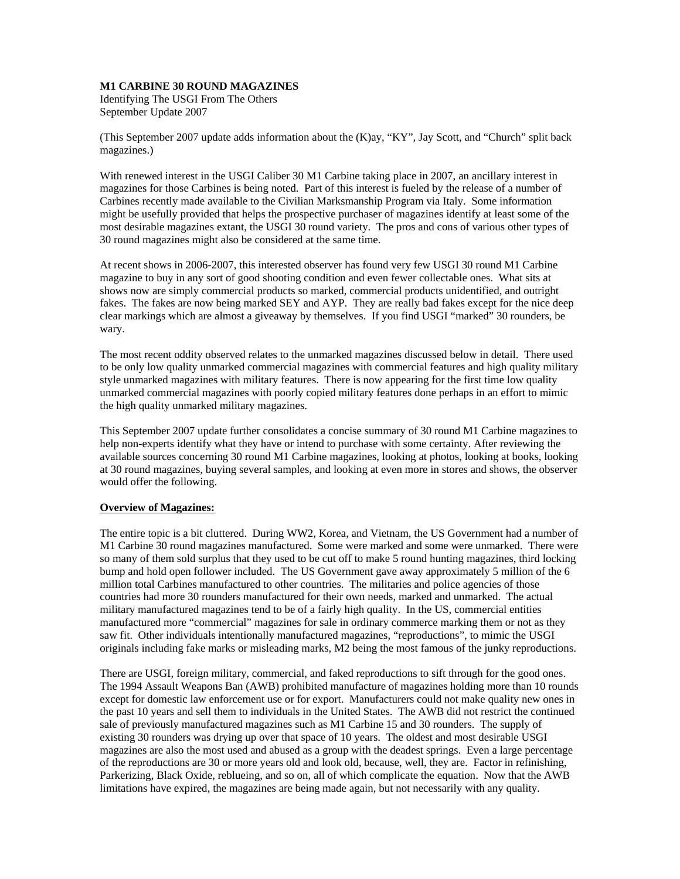## **M1 CARBINE 30 ROUND MAGAZINES**

Identifying The USGI From The Others September Update 2007

(This September 2007 update adds information about the (K)ay, "KY", Jay Scott, and "Church" split back magazines.)

With renewed interest in the USGI Caliber 30 M1 Carbine taking place in 2007, an ancillary interest in magazines for those Carbines is being noted. Part of this interest is fueled by the release of a number of Carbines recently made available to the Civilian Marksmanship Program via Italy. Some information might be usefully provided that helps the prospective purchaser of magazines identify at least some of the most desirable magazines extant, the USGI 30 round variety. The pros and cons of various other types of 30 round magazines might also be considered at the same time.

At recent shows in 2006-2007, this interested observer has found very few USGI 30 round M1 Carbine magazine to buy in any sort of good shooting condition and even fewer collectable ones. What sits at shows now are simply commercial products so marked, commercial products unidentified, and outright fakes. The fakes are now being marked SEY and AYP. They are really bad fakes except for the nice deep clear markings which are almost a giveaway by themselves. If you find USGI "marked" 30 rounders, be wary.

The most recent oddity observed relates to the unmarked magazines discussed below in detail. There used to be only low quality unmarked commercial magazines with commercial features and high quality military style unmarked magazines with military features. There is now appearing for the first time low quality unmarked commercial magazines with poorly copied military features done perhaps in an effort to mimic the high quality unmarked military magazines.

This September 2007 update further consolidates a concise summary of 30 round M1 Carbine magazines to help non-experts identify what they have or intend to purchase with some certainty. After reviewing the available sources concerning 30 round M1 Carbine magazines, looking at photos, looking at books, looking at 30 round magazines, buying several samples, and looking at even more in stores and shows, the observer would offer the following.

# **Overview of Magazines:**

The entire topic is a bit cluttered. During WW2, Korea, and Vietnam, the US Government had a number of M1 Carbine 30 round magazines manufactured. Some were marked and some were unmarked. There were so many of them sold surplus that they used to be cut off to make 5 round hunting magazines, third locking bump and hold open follower included. The US Government gave away approximately 5 million of the 6 million total Carbines manufactured to other countries. The militaries and police agencies of those countries had more 30 rounders manufactured for their own needs, marked and unmarked. The actual military manufactured magazines tend to be of a fairly high quality. In the US, commercial entities manufactured more "commercial" magazines for sale in ordinary commerce marking them or not as they saw fit. Other individuals intentionally manufactured magazines, "reproductions", to mimic the USGI originals including fake marks or misleading marks, M2 being the most famous of the junky reproductions.

There are USGI, foreign military, commercial, and faked reproductions to sift through for the good ones. The 1994 Assault Weapons Ban (AWB) prohibited manufacture of magazines holding more than 10 rounds except for domestic law enforcement use or for export. Manufacturers could not make quality new ones in the past 10 years and sell them to individuals in the United States. The AWB did not restrict the continued sale of previously manufactured magazines such as M1 Carbine 15 and 30 rounders. The supply of existing 30 rounders was drying up over that space of 10 years. The oldest and most desirable USGI magazines are also the most used and abused as a group with the deadest springs. Even a large percentage of the reproductions are 30 or more years old and look old, because, well, they are. Factor in refinishing, Parkerizing, Black Oxide, reblueing, and so on, all of which complicate the equation. Now that the AWB limitations have expired, the magazines are being made again, but not necessarily with any quality.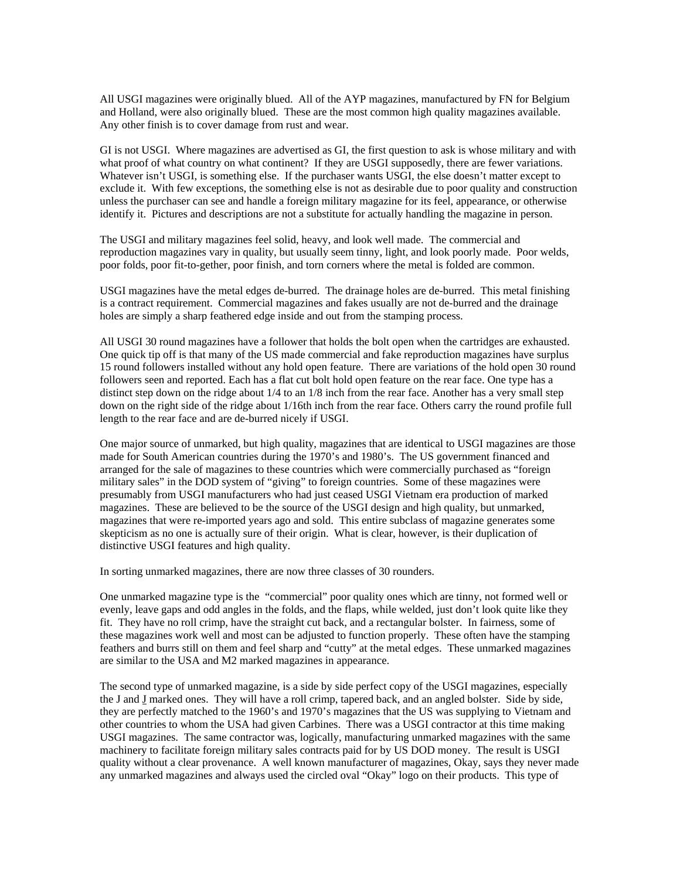All USGI magazines were originally blued. All of the AYP magazines, manufactured by FN for Belgium and Holland, were also originally blued. These are the most common high quality magazines available. Any other finish is to cover damage from rust and wear.

GI is not USGI. Where magazines are advertised as GI, the first question to ask is whose military and with what proof of what country on what continent? If they are USGI supposedly, there are fewer variations. Whatever isn't USGI, is something else. If the purchaser wants USGI, the else doesn't matter except to exclude it. With few exceptions, the something else is not as desirable due to poor quality and construction unless the purchaser can see and handle a foreign military magazine for its feel, appearance, or otherwise identify it. Pictures and descriptions are not a substitute for actually handling the magazine in person.

The USGI and military magazines feel solid, heavy, and look well made. The commercial and reproduction magazines vary in quality, but usually seem tinny, light, and look poorly made. Poor welds, poor folds, poor fit-to-gether, poor finish, and torn corners where the metal is folded are common.

USGI magazines have the metal edges de-burred. The drainage holes are de-burred. This metal finishing is a contract requirement. Commercial magazines and fakes usually are not de-burred and the drainage holes are simply a sharp feathered edge inside and out from the stamping process.

All USGI 30 round magazines have a follower that holds the bolt open when the cartridges are exhausted. One quick tip off is that many of the US made commercial and fake reproduction magazines have surplus 15 round followers installed without any hold open feature. There are variations of the hold open 30 round followers seen and reported. Each has a flat cut bolt hold open feature on the rear face. One type has a distinct step down on the ridge about 1/4 to an 1/8 inch from the rear face. Another has a very small step down on the right side of the ridge about 1/16th inch from the rear face. Others carry the round profile full length to the rear face and are de-burred nicely if USGI.

One major source of unmarked, but high quality, magazines that are identical to USGI magazines are those made for South American countries during the 1970's and 1980's. The US government financed and arranged for the sale of magazines to these countries which were commercially purchased as "foreign military sales" in the DOD system of "giving" to foreign countries. Some of these magazines were presumably from USGI manufacturers who had just ceased USGI Vietnam era production of marked magazines. These are believed to be the source of the USGI design and high quality, but unmarked, magazines that were re-imported years ago and sold. This entire subclass of magazine generates some skepticism as no one is actually sure of their origin. What is clear, however, is their duplication of distinctive USGI features and high quality.

In sorting unmarked magazines, there are now three classes of 30 rounders.

One unmarked magazine type is the "commercial" poor quality ones which are tinny, not formed well or evenly, leave gaps and odd angles in the folds, and the flaps, while welded, just don't look quite like they fit. They have no roll crimp, have the straight cut back, and a rectangular bolster. In fairness, some of these magazines work well and most can be adjusted to function properly. These often have the stamping feathers and burrs still on them and feel sharp and "cutty" at the metal edges. These unmarked magazines are similar to the USA and M2 marked magazines in appearance.

The second type of unmarked magazine, is a side by side perfect copy of the USGI magazines, especially the J and J marked ones. They will have a roll crimp, tapered back, and an angled bolster. Side by side, they are perfectly matched to the 1960's and 1970's magazines that the US was supplying to Vietnam and other countries to whom the USA had given Carbines. There was a USGI contractor at this time making USGI magazines. The same contractor was, logically, manufacturing unmarked magazines with the same machinery to facilitate foreign military sales contracts paid for by US DOD money. The result is USGI quality without a clear provenance. A well known manufacturer of magazines, Okay, says they never made any unmarked magazines and always used the circled oval "Okay" logo on their products. This type of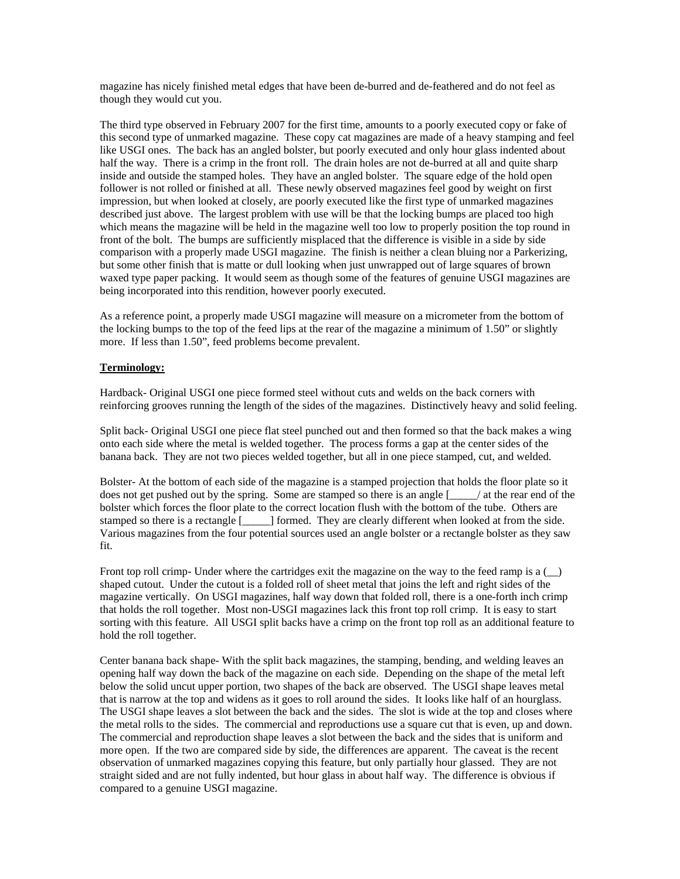magazine has nicely finished metal edges that have been de-burred and de-feathered and do not feel as though they would cut you.

The third type observed in February 2007 for the first time, amounts to a poorly executed copy or fake of this second type of unmarked magazine. These copy cat magazines are made of a heavy stamping and feel like USGI ones. The back has an angled bolster, but poorly executed and only hour glass indented about half the way. There is a crimp in the front roll. The drain holes are not de-burred at all and quite sharp inside and outside the stamped holes. They have an angled bolster. The square edge of the hold open follower is not rolled or finished at all. These newly observed magazines feel good by weight on first impression, but when looked at closely, are poorly executed like the first type of unmarked magazines described just above. The largest problem with use will be that the locking bumps are placed too high which means the magazine will be held in the magazine well too low to properly position the top round in front of the bolt. The bumps are sufficiently misplaced that the difference is visible in a side by side comparison with a properly made USGI magazine. The finish is neither a clean bluing nor a Parkerizing, but some other finish that is matte or dull looking when just unwrapped out of large squares of brown waxed type paper packing. It would seem as though some of the features of genuine USGI magazines are being incorporated into this rendition, however poorly executed.

As a reference point, a properly made USGI magazine will measure on a micrometer from the bottom of the locking bumps to the top of the feed lips at the rear of the magazine a minimum of 1.50" or slightly more. If less than 1.50", feed problems become prevalent.

## **Terminology:**

Hardback- Original USGI one piece formed steel without cuts and welds on the back corners with reinforcing grooves running the length of the sides of the magazines. Distinctively heavy and solid feeling.

Split back- Original USGI one piece flat steel punched out and then formed so that the back makes a wing onto each side where the metal is welded together. The process forms a gap at the center sides of the banana back. They are not two pieces welded together, but all in one piece stamped, cut, and welded.

Bolster- At the bottom of each side of the magazine is a stamped projection that holds the floor plate so it does not get pushed out by the spring. Some are stamped so there is an angle  $\lceil \frac{1}{2} \rceil$  at the rear end of the bolster which forces the floor plate to the correct location flush with the bottom of the tube. Others are stamped so there is a rectangle [\_\_\_\_\_] formed. They are clearly different when looked at from the side. Various magazines from the four potential sources used an angle bolster or a rectangle bolster as they saw fit.

Front top roll crimp- Under where the cartridges exit the magazine on the way to the feed ramp is a  $($ ) shaped cutout. Under the cutout is a folded roll of sheet metal that joins the left and right sides of the magazine vertically. On USGI magazines, half way down that folded roll, there is a one-forth inch crimp that holds the roll together. Most non-USGI magazines lack this front top roll crimp. It is easy to start sorting with this feature. All USGI split backs have a crimp on the front top roll as an additional feature to hold the roll together.

Center banana back shape- With the split back magazines, the stamping, bending, and welding leaves an opening half way down the back of the magazine on each side. Depending on the shape of the metal left below the solid uncut upper portion, two shapes of the back are observed. The USGI shape leaves metal that is narrow at the top and widens as it goes to roll around the sides. It looks like half of an hourglass. The USGI shape leaves a slot between the back and the sides. The slot is wide at the top and closes where the metal rolls to the sides. The commercial and reproductions use a square cut that is even, up and down. The commercial and reproduction shape leaves a slot between the back and the sides that is uniform and more open. If the two are compared side by side, the differences are apparent. The caveat is the recent observation of unmarked magazines copying this feature, but only partially hour glassed. They are not straight sided and are not fully indented, but hour glass in about half way. The difference is obvious if compared to a genuine USGI magazine.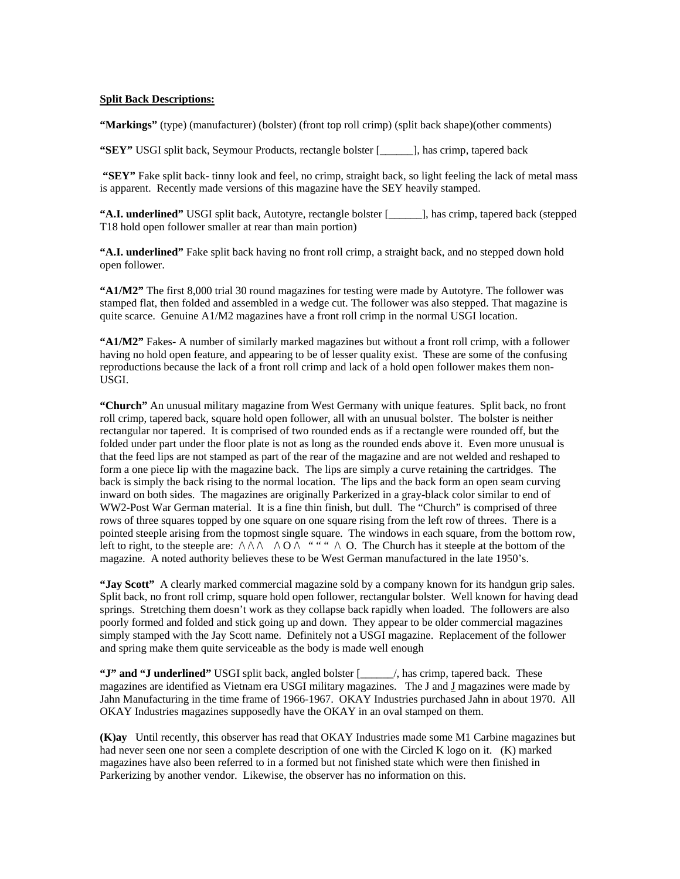#### **Split Back Descriptions:**

**"Markings"** (type) (manufacturer) (bolster) (front top roll crimp) (split back shape)(other comments)

**"SEY"** USGI split back, Seymour Products, rectangle bolster [\_\_\_\_\_\_], has crimp, tapered back

**"SEY"** Fake split back- tinny look and feel, no crimp, straight back, so light feeling the lack of metal mass is apparent. Recently made versions of this magazine have the SEY heavily stamped.

**"A.I. underlined"** USGI split back, Autotyre, rectangle bolster [\_\_\_\_\_\_], has crimp, tapered back (stepped T18 hold open follower smaller at rear than main portion)

**"A.I. underlined"** Fake split back having no front roll crimp, a straight back, and no stepped down hold open follower.

**"A1/M2"** The first 8,000 trial 30 round magazines for testing were made by Autotyre. The follower was stamped flat, then folded and assembled in a wedge cut. The follower was also stepped. That magazine is quite scarce. Genuine A1/M2 magazines have a front roll crimp in the normal USGI location.

**"A1/M2"** Fakes- A number of similarly marked magazines but without a front roll crimp, with a follower having no hold open feature, and appearing to be of lesser quality exist. These are some of the confusing reproductions because the lack of a front roll crimp and lack of a hold open follower makes them non-USGI.

**"Church"** An unusual military magazine from West Germany with unique features. Split back, no front roll crimp, tapered back, square hold open follower, all with an unusual bolster. The bolster is neither rectangular nor tapered. It is comprised of two rounded ends as if a rectangle were rounded off, but the folded under part under the floor plate is not as long as the rounded ends above it. Even more unusual is that the feed lips are not stamped as part of the rear of the magazine and are not welded and reshaped to form a one piece lip with the magazine back. The lips are simply a curve retaining the cartridges. The back is simply the back rising to the normal location. The lips and the back form an open seam curving inward on both sides. The magazines are originally Parkerized in a gray-black color similar to end of WW2-Post War German material. It is a fine thin finish, but dull. The "Church" is comprised of three rows of three squares topped by one square on one square rising from the left row of threes. There is a pointed steeple arising from the topmost single square. The windows in each square, from the bottom row, left to right, to the steeple are:  $\wedge \wedge \wedge \wedge \wedge \wedge \wedge \wedge \wedge$ . The Church has it steeple at the bottom of the magazine. A noted authority believes these to be West German manufactured in the late 1950's.

**"Jay Scott"** A clearly marked commercial magazine sold by a company known for its handgun grip sales. Split back, no front roll crimp, square hold open follower, rectangular bolster. Well known for having dead springs. Stretching them doesn't work as they collapse back rapidly when loaded. The followers are also poorly formed and folded and stick going up and down. They appear to be older commercial magazines simply stamped with the Jay Scott name. Definitely not a USGI magazine. Replacement of the follower and spring make them quite serviceable as the body is made well enough

**"J" and "J underlined"** USGI split back, angled bolster [\_\_\_\_\_\_/, has crimp, tapered back. These magazines are identified as Vietnam era USGI military magazines. The  $J$  and  $J$  magazines were made by Jahn Manufacturing in the time frame of 1966-1967. OKAY Industries purchased Jahn in about 1970. All OKAY Industries magazines supposedly have the OKAY in an oval stamped on them.

**(K)ay** Until recently, this observer has read that OKAY Industries made some M1 Carbine magazines but had never seen one nor seen a complete description of one with the Circled K logo on it. (K) marked magazines have also been referred to in a formed but not finished state which were then finished in Parkerizing by another vendor. Likewise, the observer has no information on this.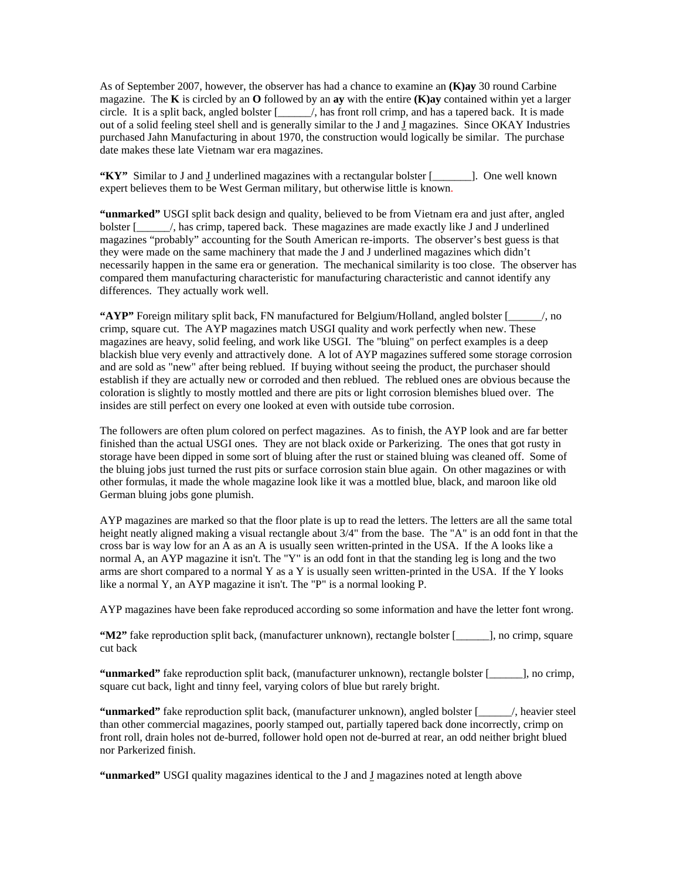As of September 2007, however, the observer has had a chance to examine an **(K)ay** 30 round Carbine magazine. The **K** is circled by an **O** followed by an **ay** with the entire **(K)ay** contained within yet a larger circle. It is a split back, angled bolster [\_\_\_\_\_\_/, has front roll crimp, and has a tapered back. It is made out of a solid feeling steel shell and is generally similar to the J and  $\overline{J}$  magazines. Since OKAY Industries purchased Jahn Manufacturing in about 1970, the construction would logically be similar. The purchase date makes these late Vietnam war era magazines.

**"KY"** Similar to J and J underlined magazines with a rectangular bolster [\_\_\_\_\_\_\_]. One well known expert believes them to be West German military, but otherwise little is known.

**"unmarked"** USGI split back design and quality, believed to be from Vietnam era and just after, angled bolster [Alternative magazines are made exactly like J and J underlined magazines "probably" accounting for the South American re-imports. The observer's best guess is that they were made on the same machinery that made the J and J underlined magazines which didn't necessarily happen in the same era or generation. The mechanical similarity is too close. The observer has compared them manufacturing characteristic for manufacturing characteristic and cannot identify any differences. They actually work well.

**"AYP"** Foreign military split back, FN manufactured for Belgium/Holland, angled bolster [\_\_\_\_\_\_/, no crimp, square cut. The AYP magazines match USGI quality and work perfectly when new. These magazines are heavy, solid feeling, and work like USGI. The "bluing" on perfect examples is a deep blackish blue very evenly and attractively done. A lot of AYP magazines suffered some storage corrosion and are sold as "new" after being reblued. If buying without seeing the product, the purchaser should establish if they are actually new or corroded and then reblued. The reblued ones are obvious because the coloration is slightly to mostly mottled and there are pits or light corrosion blemishes blued over. The insides are still perfect on every one looked at even with outside tube corrosion.

The followers are often plum colored on perfect magazines. As to finish, the AYP look and are far better finished than the actual USGI ones. They are not black oxide or Parkerizing. The ones that got rusty in storage have been dipped in some sort of bluing after the rust or stained bluing was cleaned off. Some of the bluing jobs just turned the rust pits or surface corrosion stain blue again. On other magazines or with other formulas, it made the whole magazine look like it was a mottled blue, black, and maroon like old German bluing jobs gone plumish.

AYP magazines are marked so that the floor plate is up to read the letters. The letters are all the same total height neatly aligned making a visual rectangle about  $3/4$ " from the base. The "A" is an odd font in that the cross bar is way low for an A as an A is usually seen written-printed in the USA. If the A looks like a normal A, an AYP magazine it isn't. The "Y" is an odd font in that the standing leg is long and the two arms are short compared to a normal Y as a Y is usually seen written-printed in the USA. If the Y looks like a normal Y, an AYP magazine it isn't. The "P" is a normal looking P.

AYP magazines have been fake reproduced according so some information and have the letter font wrong.

**"M2"** fake reproduction split back, (manufacturer unknown), rectangle bolster [\_\_\_\_\_\_], no crimp, square cut back

**"unmarked"** fake reproduction split back, (manufacturer unknown), rectangle bolster [\_\_\_\_\_\_], no crimp, square cut back, light and tinny feel, varying colors of blue but rarely bright.

**"unmarked"** fake reproduction split back, (manufacturer unknown), angled bolster [\_\_\_\_\_\_/, heavier steel than other commercial magazines, poorly stamped out, partially tapered back done incorrectly, crimp on front roll, drain holes not de-burred, follower hold open not de-burred at rear, an odd neither bright blued nor Parkerized finish.

**"unmarked"** USGI quality magazines identical to the J and J magazines noted at length above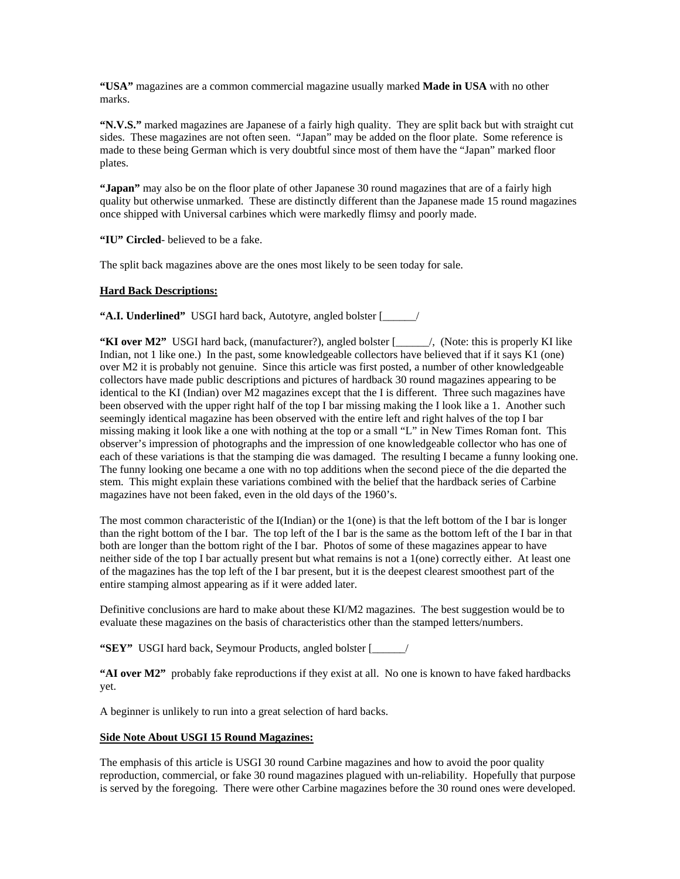**"USA"** magazines are a common commercial magazine usually marked **Made in USA** with no other marks.

**"N.V.S."** marked magazines are Japanese of a fairly high quality. They are split back but with straight cut sides. These magazines are not often seen. "Japan" may be added on the floor plate. Some reference is made to these being German which is very doubtful since most of them have the "Japan" marked floor plates.

**"Japan"** may also be on the floor plate of other Japanese 30 round magazines that are of a fairly high quality but otherwise unmarked. These are distinctly different than the Japanese made 15 round magazines once shipped with Universal carbines which were markedly flimsy and poorly made.

**"IU" Circled**- believed to be a fake.

The split back magazines above are the ones most likely to be seen today for sale.

## **Hard Back Descriptions:**

**"A.I. Underlined"** USGI hard back, Autotyre, angled bolster [\_\_\_\_\_\_/

**"KI over M2"** USGI hard back, (manufacturer?), angled bolster [\_\_\_\_\_\_/, (Note: this is properly KI like Indian, not 1 like one.) In the past, some knowledgeable collectors have believed that if it says K1 (one) over M2 it is probably not genuine. Since this article was first posted, a number of other knowledgeable collectors have made public descriptions and pictures of hardback 30 round magazines appearing to be identical to the KI (Indian) over M2 magazines except that the I is different. Three such magazines have been observed with the upper right half of the top I bar missing making the I look like a 1. Another such seemingly identical magazine has been observed with the entire left and right halves of the top I bar missing making it look like a one with nothing at the top or a small "L" in New Times Roman font. This observer's impression of photographs and the impression of one knowledgeable collector who has one of each of these variations is that the stamping die was damaged. The resulting I became a funny looking one. The funny looking one became a one with no top additions when the second piece of the die departed the stem. This might explain these variations combined with the belief that the hardback series of Carbine magazines have not been faked, even in the old days of the 1960's.

The most common characteristic of the I(Indian) or the 1(one) is that the left bottom of the I bar is longer than the right bottom of the I bar. The top left of the I bar is the same as the bottom left of the I bar in that both are longer than the bottom right of the I bar. Photos of some of these magazines appear to have neither side of the top I bar actually present but what remains is not a 1(one) correctly either. At least one of the magazines has the top left of the I bar present, but it is the deepest clearest smoothest part of the entire stamping almost appearing as if it were added later.

Definitive conclusions are hard to make about these KI/M2 magazines. The best suggestion would be to evaluate these magazines on the basis of characteristics other than the stamped letters/numbers.

**"SEY"** USGI hard back, Seymour Products, angled bolster [\_\_\_\_\_\_/

**"AI over M2"** probably fake reproductions if they exist at all. No one is known to have faked hardbacks yet.

A beginner is unlikely to run into a great selection of hard backs.

### **Side Note About USGI 15 Round Magazines:**

The emphasis of this article is USGI 30 round Carbine magazines and how to avoid the poor quality reproduction, commercial, or fake 30 round magazines plagued with un-reliability. Hopefully that purpose is served by the foregoing. There were other Carbine magazines before the 30 round ones were developed.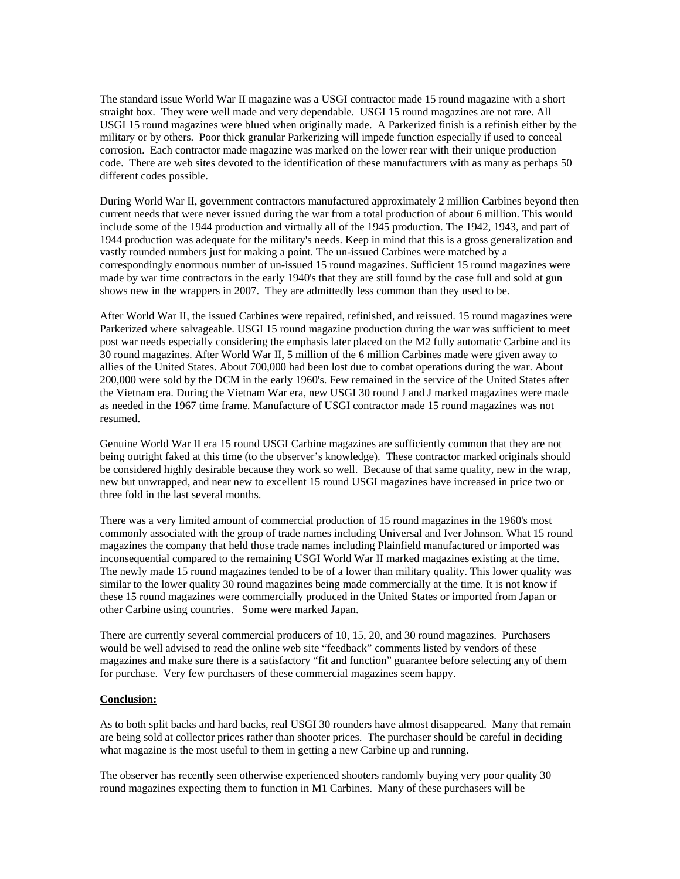The standard issue World War II magazine was a USGI contractor made 15 round magazine with a short straight box. They were well made and very dependable. USGI 15 round magazines are not rare. All USGI 15 round magazines were blued when originally made. A Parkerized finish is a refinish either by the military or by others. Poor thick granular Parkerizing will impede function especially if used to conceal corrosion. Each contractor made magazine was marked on the lower rear with their unique production code. There are web sites devoted to the identification of these manufacturers with as many as perhaps 50 different codes possible.

During World War II, government contractors manufactured approximately 2 million Carbines beyond then current needs that were never issued during the war from a total production of about 6 million. This would include some of the 1944 production and virtually all of the 1945 production. The 1942, 1943, and part of 1944 production was adequate for the military's needs. Keep in mind that this is a gross generalization and vastly rounded numbers just for making a point. The un-issued Carbines were matched by a correspondingly enormous number of un-issued 15 round magazines. Sufficient 15 round magazines were made by war time contractors in the early 1940's that they are still found by the case full and sold at gun shows new in the wrappers in 2007. They are admittedly less common than they used to be.

After World War II, the issued Carbines were repaired, refinished, and reissued. 15 round magazines were Parkerized where salvageable. USGI 15 round magazine production during the war was sufficient to meet post war needs especially considering the emphasis later placed on the M2 fully automatic Carbine and its 30 round magazines. After World War II, 5 million of the 6 million Carbines made were given away to allies of the United States. About 700,000 had been lost due to combat operations during the war. About 200,000 were sold by the DCM in the early 1960's. Few remained in the service of the United States after the Vietnam era. During the Vietnam War era, new USGI 30 round J and J marked magazines were made as needed in the 1967 time frame. Manufacture of USGI contractor made 15 round magazines was not resumed.

Genuine World War II era 15 round USGI Carbine magazines are sufficiently common that they are not being outright faked at this time (to the observer's knowledge). These contractor marked originals should be considered highly desirable because they work so well. Because of that same quality, new in the wrap, new but unwrapped, and near new to excellent 15 round USGI magazines have increased in price two or three fold in the last several months.

There was a very limited amount of commercial production of 15 round magazines in the 1960's most commonly associated with the group of trade names including Universal and Iver Johnson. What 15 round magazines the company that held those trade names including Plainfield manufactured or imported was inconsequential compared to the remaining USGI World War II marked magazines existing at the time. The newly made 15 round magazines tended to be of a lower than military quality. This lower quality was similar to the lower quality 30 round magazines being made commercially at the time. It is not know if these 15 round magazines were commercially produced in the United States or imported from Japan or other Carbine using countries. Some were marked Japan.

There are currently several commercial producers of 10, 15, 20, and 30 round magazines. Purchasers would be well advised to read the online web site "feedback" comments listed by vendors of these magazines and make sure there is a satisfactory "fit and function" guarantee before selecting any of them for purchase. Very few purchasers of these commercial magazines seem happy.

### **Conclusion:**

As to both split backs and hard backs, real USGI 30 rounders have almost disappeared. Many that remain are being sold at collector prices rather than shooter prices. The purchaser should be careful in deciding what magazine is the most useful to them in getting a new Carbine up and running.

The observer has recently seen otherwise experienced shooters randomly buying very poor quality 30 round magazines expecting them to function in M1 Carbines. Many of these purchasers will be